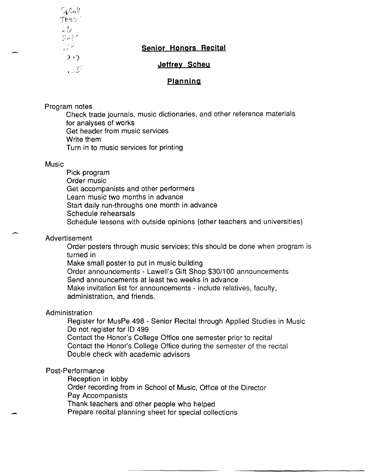$\mathbb{C}_\mathfrak{b}$ Coll Thes  $\mathbb I$  $\Box D$  $222$ 골로  $232$ - 334

# **Senior Honors Recital**

**Jeffrey Scheu** 

## **Planning**

Program notes

Check trade journals, music dictionaries, and other reference materials for analyses of works Get header from music services Write them Turn in to music services for printing

### **Music**

Pick program Order music Get accompanists and other performers Learn music two months in advance Start daily run-throughs one month in advance Schedule rehearsals Schedule lessons with outside opinions (other teachers and universities)

### Advertisement

Order posters through music services; this should be done when program is turned in

Make small poster to put in music building

Order announcements - Lawell's Gift Shop \$30/100 announcements Send announcements at least two weeks in advance Make invitation list for announcements - include relatives, faculty,

administration, and friends.

# Administration

Register for MusPe 498 - Senior Recital through Applied Studies in Music Do not register for ID 499 Contact the Honor's College Office one semester prior to recital Contact the Honor's College Office during the semester of the recital

Double check with academic advisors

# Post-Performance

Reception in lobby

Order recording from in School of Music, Office of the Director Pay Accompanists

Thank teachers and other people who helped

Prepare recital planning sheet for special collections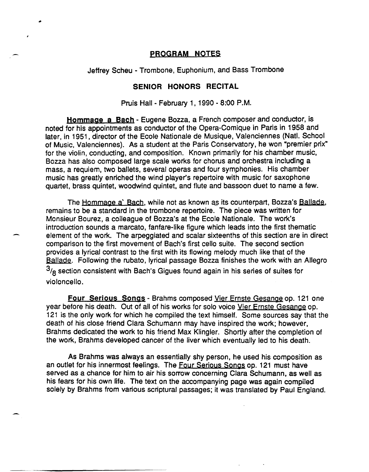## pROGRAM NOTES

Jeffrey Scheu - Trombone, Euphonium, and Bass Trombone

### SENIOR HONORS RECITAL

Pruis Hall - February 1, 1990 - 8:00 P.M.

Hommage a Bach - Eugene Bozza, a French composer and conductor, is noted for his appointments as conductor of the Opera-Comique in Paris in 1958 and later, in 1951, director of the Ecole Nationale de Musique, Valenciennes (Natl. School of Music, Valenciennes). As a student at the Paris Conservatory, he won "premier prix" for the violin, conducting, and composition. Known primarily for his chamber music, Bozza has also composed large scale works for chorus and orchestra including a mass, a requiem, two ballets, several operas and four symphonies. His chamber music has greatly enriched the wind player's repertoire with music for saxophone quartet, brass quintet, woodwind quintet, and flute and bassoon duet to name a few.

The Hommage a' Bach, while not as known as its counterpart, Bozza's Ballade, remains to be a standard in the trombone repertoire. The piece was written for Monsieur Bourez, a colleague of Bozza's at the Ecole Nationale. The work's introduction sounds a marcato, fanfare-like figure which leads into the first thematic element of the work. The arpeggiated and scalar sixteenths of this section are in direct comparison to the first movement of Bach's first cello suite. The second section provides a lyrical contrast to the first with its flowing melody much like that of the Ballade. Following the rubato, lyrical passage Bozza finishes the work with an Allegro  $3/8$  section consistent with Bach's Gigues found again in his series of suites for violoncello.

Four Serious Songs - Brahms composed Vier Ernste Gesange op. 121 one year before his death. Out of all of his works for solo voice Vier Ernste Gesange op. 121 is the only work for which he compiled the text himself. Some sources say that the death of his close friend Clara Schumann may have inspired the work; however, Brahms dedicated the work to his friend Max Klingler. Shortly after the completion of the work, Brahms developed cancer of the liver which eventually led to his death.

As Brahms was always an essentially shy person, he used his composition as an outlet for his innermost feelings. The Four Serious Songs op. 121 must have served as a chance for him to air his sorrow concerning Clara Schumann, as well as his fears for his own life. The text on the accompanying page was again compiled solely by Brahms from various scriptural passages; it was translated by Paul England.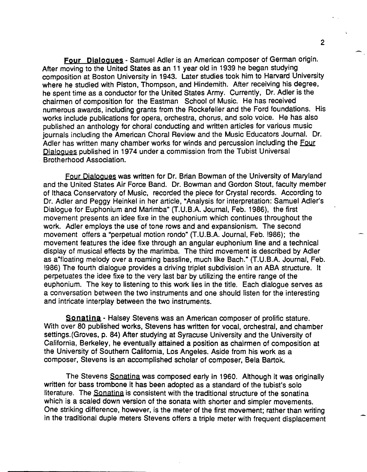Four Dialogues - Samuel Adler is an American composer of German origin. After moving to the United States as an 11 year old in 1939 he began studying composition at Boston University in 1943. Later studies took him to Harvard University where he studied with Piston, Thompson, and Hindemith. After receiving his degree, he spent time as a conductor for the United States Army. Currently, Dr. Adler is the chairmen of composition for the Eastman School of Music. He has received numerous awards, including grants from the Rockefeller and the Ford foundations. His works include publications for opera, orchestra, chorus, and solo voice. He has also published an anthology for choral conducting and written articles for various music journals including the American Choral Review and the Music Educators Journal. Dr. Adler has written many chamber works for winds and percussion including the Four Dialogues published in 1974 under a commission from the Tubist Universal Brotherhood Association.

Four Dialogues was written for Dr. Brian Bowman of the University of Maryland and the United States Air Force Band. Dr. Bowman and Gordon Stout, faculty member of Ithaca Conservatory of Music, recorded the piece for Crystal records. According to Dr. Adler and Peggy Heinkel in her article, "Analysis for interpretation: Samuel Adler's Dialogue for Euphonium and Marimba" (T.U.B.A. Journal, Feb. 1986), the first movement presents an idee fixe in the euphonium which continues throughout the work. Adler employs the use of tone rows and and expansionism. The second movement offers a "perpetual motion rondo" (T.U.B.A. Journal, Feb. 1986); the movement features the idee fixe through an angular euphonium line and a technical display of musical effects by the marimba. The third movement is described by Adler as a"floating melody over a roaming bassline, much like Bach." (T.U.B.A. Journal, Feb. !986) The fourth dialogue provides a driving triplet subdivision in an ABA structure. It perpetuates the idee fixe to the very last bar by utilizing the entire range of the euphonium. The key to listening to this work lies in the title. Each dialogue serves as a conversation between the two instruments and one should listen for the interesting and intricate interplay between the two instruments.

Sonatina - Halsey Stevens was an American composer of prolific stature. With over 80 published works, Stevens has written for vocal, orchestral, and chamber settings.(Groves, p. 84) After studying at Syracuse University and the University of California, Berkeley, he eventually attained a position as chairmen of composition at the University of Southern California, Los Angeles. Aside from his work as a composer, Stevens is an accomplished scholar of composer, Bela Bartok.

The Stevens Sonatina was composed early in 1960. Although it was originally written for bass trombone it has been adopted as a standard of the tubist's solo literature. The Sonatina is consistent with the traditional structure of the sonatina which is a scaled down version of the sonata with shorter and simpler movements. One striking difference, however, is the meter of the first movement; rather than writing in the traditional duple meters Stevens offers a triple meter with frequent displacement

2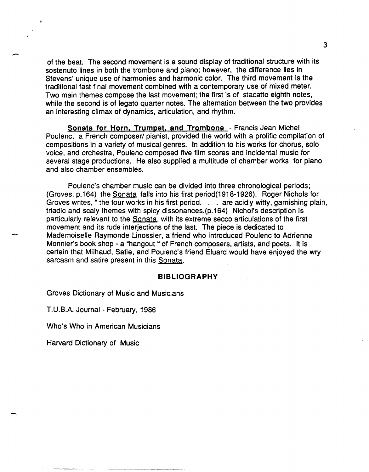of the beat. The second movement is a sound display of traditional structure with its sostenuto lines in both the trombone and piano; however, the difference lies in Stevens' unique use of harmonies and harmonic color. The third movement is the traditional fast final movement combined with a contemporary use of mixed meter. Two main themes compose the last movement; the first is of stacatto eighth notes, while the second is of legato quarter notes. The alternation between the two provides an interesting climax of dynamics, articulation, and rhythm.

Sonata for Horn. Trumpet. and Trombone - Francis Jean Michel Poulenc, a French composer/ pianist, provided the world with a prolific compilation of compositions in a variety of musical genres. In addition to his works for chorus, solo voice, and orchestra, Poulenc composed five film scores and incidental music for several stage productions. He also supplied a multitude of chamber works for piano and also chamber ensembles.

Poulenc's chamber music can be divided into three chronological periods; (Groves, p.164) the Sonata falls into his first period(1918-1926). Roger Nichols for Groves writes, "the four works in his first period. . . are acidly witty, garnishing plain, triadic and scaly themes with spicy dissonances.(p.164) Nichol's description is particularly relevant to the Sonata, with its extreme secco articulations of the first movement and its rude interjections of the last. The piece is dedicated to Mademoiselle Raymonde Linossier, a friend who introduced Poulenc to Adrienne Monnier's book shop - a "hangout " of French composers, artists, and poets. It is certain that Milhaud, Satie, and Poulenc's friend Eluard would have enjoyed the wry sarcasm and satire present in this Sonata.

### BIBLIOGRAPHY

Groves Dictionary of Music and Musicians

T.U.B.A. Journal - February, 1986

Who's Who in American Musicians

Harvard Dictionary of Music

".4

 $\overline{\phantom{0}}$ 

-